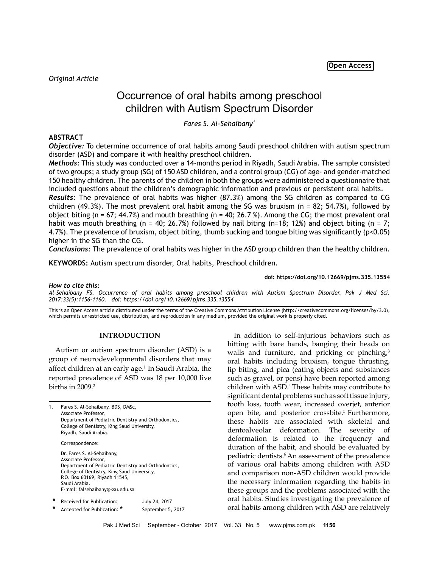*Original Article*

# Occurrence of oral habits among preschool children with Autism Spectrum Disorder

*Fares S. Al-Sehaibany1*

# **ABSTRACT**

*Objective:* To determine occurrence of oral habits among Saudi preschool children with autism spectrum disorder (ASD) and compare it with healthy preschool children.

*Methods:* This study was conducted over a 14-months period in Riyadh, Saudi Arabia. The sample consisted of two groups; a study group (SG) of 150 ASD children, and a control group (CG) of age- and gender-matched 150 healthy children. The parents of the children in both the groups were administered a questionnaire that included questions about the children's demographic information and previous or persistent oral habits.

*Results:* The prevalence of oral habits was higher (87.3%) among the SG children as compared to CG children (49.3%). The most prevalent oral habit among the SG was bruxism (n = 82; 54.7%), followed by object biting (n = 67; 44.7%) and mouth breathing (n = 40; 26.7%). Among the CG; the most prevalent oral habit was mouth breathing (n = 40; 26.7%) followed by nail biting (n=18; 12%) and object biting (n = 7; 4.7%). The prevalence of bruxism, object biting, thumb sucking and tongue biting was significantly (p<0.05) higher in the SG than the CG.

*Conclusions:* The prevalence of oral habits was higher in the ASD group children than the healthy children.

**KEYWORDS:** Autism spectrum disorder, Oral habits, Preschool children.

## **doi: https://doi.org/10.12669/pjms.335.13554**

#### *How to cite this:*

*Al-Sehaibany FS. Occurrence of oral habits among preschool children with Autism Spectrum Disorder. Pak J Med Sci. 2017;33(5):1156-1160. doi: https://doi.org/10.12669/pjms.335.13554*

This is an Open Access article distributed under the terms of the Creative Commons Attribution License (http://creativecommons.org/licenses/by/3.0), which permits unrestricted use, distribution, and reproduction in any medium, provided the original work is properly cited.

## **INTRODUCTION**

Autism or autism spectrum disorder (ASD) is a group of neurodevelopmental disorders that may affect children at an early age.<sup>1</sup> In Saudi Arabia, the reported prevalence of ASD was 18 per 10,000 live births in  $2009<sup>2</sup>$ 

| 1.           | Fares S. Al-Sehaibany, BDS, DMSc,<br>Associate Professor.<br>Department of Pediatric Dentistry and Orthodontics,<br>College of Dentistry, King Saud University,<br>Riyadh, Saudi Arabia.                                                      |                                    |  |  |
|--------------|-----------------------------------------------------------------------------------------------------------------------------------------------------------------------------------------------------------------------------------------------|------------------------------------|--|--|
|              | Correspondence:                                                                                                                                                                                                                               |                                    |  |  |
|              | Dr. Fares S. Al-Sehaibany,<br>Associate Professor,<br>Department of Pediatric Dentistry and Orthodontics,<br>College of Dentistry, King Saud University,<br>P.O. Box 60169, Riyadh 11545,<br>Saudi Arabia.<br>E-mail: falsehaibany@ksu.edu.sa |                                    |  |  |
| $\star$<br>÷ | Received for Publication:<br>Accepted for Publication: *                                                                                                                                                                                      | July 24, 2017<br>September 5, 2017 |  |  |

In addition to self-injurious behaviors such as hitting with bare hands, banging their heads on walls and furniture, and pricking or pinching;<sup>3</sup> oral habits including bruxism, tongue thrusting, lip biting, and pica (eating objects and substances such as gravel, or pens) have been reported among children with ASD.4 These habits may contribute to significant dental problems such as soft tissue injury, tooth loss, tooth wear, increased overjet, anterior open bite, and posterior crossbite.<sup>5</sup> Furthermore, these habits are associated with skeletal and dentoalveolar deformation. The severity of deformation is related to the frequency and duration of the habit, and should be evaluated by pediatric dentists.6 An assessment of the prevalence of various oral habits among children with ASD and comparison non-ASD children would provide the necessary information regarding the habits in these groups and the problems associated with the oral habits. Studies investigating the prevalence of oral habits among children with ASD are relatively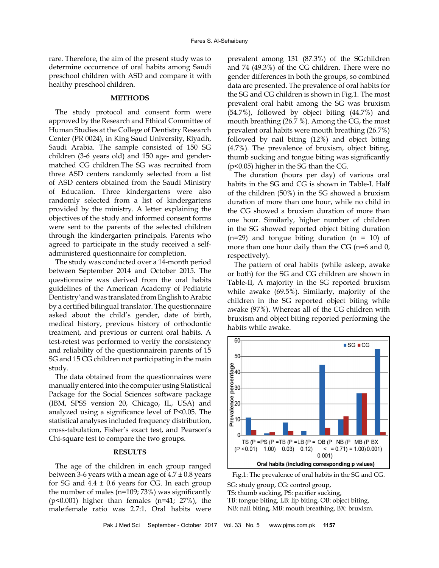rare. Therefore, the aim of the present study was to determine occurrence of oral habits among Saudi preschool children with ASD and compare it with healthy preschool children.

#### **METHODS**

The study protocol and consent form were approved by the Research and Ethical Committee of Human Studies at the College of Dentistry Research Center (PR 0024), in King Saud University, Riyadh, Saudi Arabia. The sample consisted of 150 SG children (3-6 years old) and 150 age- and gendermatched CG children.The SG was recruited from three ASD centers randomly selected from a list of ASD centers obtained from the Saudi Ministry of Education. Three kindergartens were also randomly selected from a list of kindergartens provided by the ministry. A letter explaining the objectives of the study and informed consent forms were sent to the parents of the selected children through the kindergarten principals. Parents who agreed to participate in the study received a selfadministered questionnaire for completion.

The study was conducted over a 14-month period between September 2014 and October 2015. The questionnaire was derived from the oral habits guidelines of the American Academy of Pediatric Dentistry<sup>6</sup> and was translated from English to Arabic by a certified bilingual translator. The questionnaire asked about the child's gender, date of birth, medical history, previous history of orthodontic treatment, and previous or current oral habits. A test-retest was performed to verify the consistency and reliability of the questionnairein parents of 15 SG and 15 CG children not participating in the main study.

The data obtained from the questionnaires were manually entered into the computer using Statistical Package for the Social Sciences software package (IBM, SPSS version 20, Chicago, IL, USA) and analyzed using a significance level of P<0.05. The statistical analyses included frequency distribution, cross-tabulation, Fisher's exact test, and Pearson's Chi-square test to compare the two groups.

## **RESULTS**

The age of the children in each group ranged between 3-6 years with a mean age of  $4.7 \pm 0.8$  years for SG and  $4.4 \pm 0.6$  years for CG. In each group the number of males (n=109; 73%) was significantly (p<0.001) higher than females (n=41; 27%), the male:female ratio was 2.7:1. Oral habits were

prevalent among 131 (87.3%) of the SGchildren and 74 (49.3%) of the CG children. There were no gender differences in both the groups, so combined data are presented. The prevalence of oral habits for the SG and CG children is shown in Fig.1. The most prevalent oral habit among the SG was bruxism (54.7%), followed by object biting (44.7%) and mouth breathing (26.7 %). Among the CG, the most prevalent oral habits were mouth breathing (26.7%) followed by nail biting (12%) and object biting (4.7%). The prevalence of bruxism, object biting, thumb sucking and tongue biting was significantly (p<0.05) higher in the SG than the CG.

The duration (hours per day) of various oral habits in the SG and CG is shown in Table-I. Half of the children (50%) in the SG showed a bruxism duration of more than one hour, while no child in the CG showed a bruxism duration of more than one hour. Similarly, higher number of children in the SG showed reported object biting duration  $(n=29)$  and tongue biting duration  $(n = 10)$  of more than one hour daily than the CG (n=6 and 0, respectively).

The pattern of oral habits (while asleep, awake or both) for the SG and CG children are shown in Table-II, A majority in the SG reported bruxism while awake (69.5%). Similarly, majority of the children in the SG reported object biting while awake (97%). Whereas all of the CG children with bruxism and object biting reported performing the habits while awake.



Fig.1: The prevalence of oral habits in the SG and CG.

SG: study group, CG: control group, TS: thumb sucking, PS: pacifier sucking, TB: tongue biting, LB: lip biting, OB: object biting, NB: nail biting, MB: mouth breathing, BX: bruxism.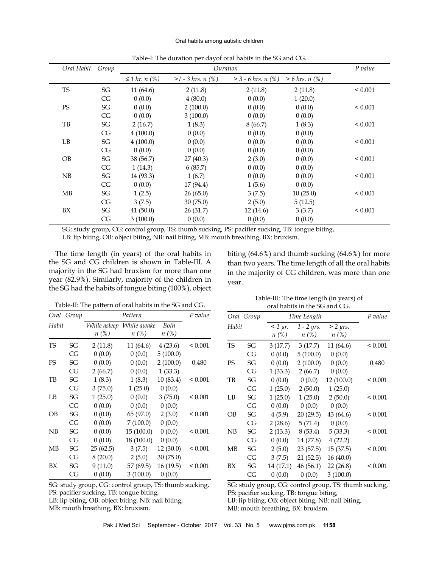#### Oral habits among autistic children

| Oral Habit | Group                    | Duration                     |                        |                         | P value             |              |
|------------|--------------------------|------------------------------|------------------------|-------------------------|---------------------|--------------|
|            |                          | ≤ 1 <i>hr</i> . <i>n</i> (%) | $>1 - 3$ hrs. n $(\%)$ | $> 3 - 6$ hrs. n $(\%)$ | $> 6$ hrs. n $(\%)$ |              |
| TS         | SG                       | 11(64.6)                     | 2(11.8)                | 2(11.8)                 | 2(11.8)             | ${}_{0.001}$ |
|            | CG                       | 0(0.0)                       | 4(80.0)                | 0(0.0)                  | 1(20.0)             |              |
| PS         | SG                       | 0(0.0)                       | 2(100.0)               | 0(0.0)                  | 0(0.0)              | ${}< 0.001$  |
|            | CG                       | 0(0.0)                       | 3(100.0)               | 0(0.0)                  | 0(0.0)              |              |
| TB         | $\mathcal{S}\mathcal{G}$ | 2(16.7)                      | 1(8.3)                 | 8(66.7)                 | 1(8.3)              | ${}_{0.001}$ |
|            | CG                       | 4(100.0)                     | 0(0.0)                 | 0(0.0)                  | 0(0.0)              |              |
| LB         | $\mathcal{S}\mathcal{G}$ | 4(100.0)                     | 0(0.0)                 | 0(0.0)                  | 0(0.0)              | ${}_{0.001}$ |
|            | CG                       | 0(0.0)                       | 0(0.0)                 | 0(0.0)                  | 0(0.0)              |              |
| OB         | $\mathcal{S}\mathcal{G}$ | 38 (56.7)                    | 27(40.3)               | 2(3.0)                  | 0(0.0)              | ${}_{0.001}$ |
|            | CG                       | 1(14.3)                      | 6(85.7)                | 0(0.0)                  | 0(0.0)              |              |
| NB         | SG                       | 14 (93.3)                    | 1(6.7)                 | 0(0.0)                  | 0(0.0)              | ${}_{0.001}$ |
|            | CG                       | 0(0.0)                       | 17 (94.4)              | 1(5.6)                  | 0(0.0)              |              |
| МB         | SG                       | 1(2.5)                       | 26(65.0)               | 3(7.5)                  | 10(25.0)            | ${}_{0.001}$ |
|            | CG                       | 3(7.5)                       | 30(75.0)               | 2(5.0)                  | 5(12.5)             |              |
| BX         | SG                       | 41(50.0)                     | 26(31.7)               | 12 (14.6)               | 3(3.7)              | ${}_{0.001}$ |
|            | CG                       | 3(100.0)                     | 0(0.0)                 | 0(0.0)                  | 0(0.0)              |              |

Table-I: The duration per dayof oral habits in the SG and CG.

SG: study group, CG: control group, TS: thumb sucking, PS: pacifier sucking, TB: tongue biting, LB: lip biting, OB: object biting, NB: nail biting, MB: mouth breathing, BX: bruxism.

The time length (in years) of the oral habits in the SG and CG children is shown in Table-III. A majority in the SG had bruxism for more than one year (82.9%). Similarly, majority of the children in the SG had the habits of tongue biting (100%), object

biting (64.6%) and thumb sucking (64.6%) for more than two years. The time length of all the oral habits in the majority of CG children, was more than one year.

Table-II: The pattern of oral habits in the SG and CG.

| Oral Group |    |                         | P value                |                 |              |
|------------|----|-------------------------|------------------------|-----------------|--------------|
| Habit      |    | While asleep<br>$n(\%)$ | While awake<br>$n(\%)$ | Both<br>$n(\%)$ |              |
| <b>TS</b>  | SG | 2(11.8)                 | 11 (64.6)              | 4(23.6)         | ${}_{0.001}$ |
|            | CG | 0(0.0)                  | 0(0.0)                 | 5(100.0)        |              |
| PS         | SG | 0(0.0)                  | 0(0.0)                 | 2(100.0)        | 0.480        |
|            | CG | 2(66.7)                 | 0(0.0)                 | 1(33.3)         |              |
| TВ         | SG | 1(8.3)                  | 1(8.3)                 | 10 (83.4)       | ${}_{0.001}$ |
|            | CG | 3(75.0)                 | 1(25.0)                | 0(0.0)          |              |
| ΙB         | SG | 1(25.0)                 | 0(0.0)                 | 3(75.0)         | ${}_{0.001}$ |
|            | CG | 0(0.0)                  | (0.0)                  | 0(0.0)          |              |
| OΒ         | SG | 0(0.0)                  | 65 (97.0)              | 2(3.0)          | ${}_{0.001}$ |
|            | CG | 0(0.0)                  | 7(100.0)               | 0(0.0)          |              |
| NB         | SG | 0(0.0)                  | 15 (100.0)             | 0(0.0)          | ${}_{0.001}$ |
|            | CG | 0(0.0)                  | 18 (100.0)             | 0(0.0)          |              |
| MB         | SG | 25(62.5)                | 3(7.5)                 | 12 (30.0)       | ${}_{0.001}$ |
|            | CG | 8(20.0)                 | 2(5.0)                 | 30 (75.0)       |              |
| BX         | SG | 9(11.0)                 | 57 (69.5)              | 16 (19.5)       | ${}_{0.001}$ |
|            | CG | 0(0.0)                  | 3(100.0)               | 0(0.0)          |              |

SG: study group, CG: control group, TS: thumb sucking, PS: pacifier sucking, TB: tongue biting,

LB: lip biting, OB: object biting, NB: nail biting,

MB: mouth breathing, BX: bruxism.

| Table-III: The time length (in years) of |  |
|------------------------------------------|--|
| oral habits in the SG and CG.            |  |

| Oral Group |    | Time Length        |                         |                     | P value           |
|------------|----|--------------------|-------------------------|---------------------|-------------------|
| Habit      |    | $<$ 1 yr.<br>n (%) | $1 - 2$ yrs.<br>$n(\%)$ | $>$ 2 yrs.<br>n (%) |                   |
| TS         | SG | 3(17.7)            | 3(17.7)                 | 11 (64.6)           | ${}_{0.001}$      |
|            | CG | 0(0.0)             | 5(100.0)                | 0(0.0)              |                   |
| PS         | SG | 0(0.0)             | 2(100.0)                | 0(0.0)              | 0.480             |
|            | CG | 1(33.3)            | 2(66.7)                 | 0(0.0)              |                   |
| TВ         | SG | 0(0.0)             | 0(0.0)                  | 12 (100.0)          | ${}_{0.001}$      |
|            | CG | 1(25.0)            | 2(50.0)                 | 1(25.0)             |                   |
| LВ         | SG | 1(25.0)            | 1(25.0)                 | 2(50.0)             | ${}_{0.001}$      |
|            | CG | (0.0)              | (0.0)                   | 0(0.0)              |                   |
| OВ         | SG | 4(5.9)             | 20(29.5)                | 43 (64.6)           | ${}_{0.001}$      |
|            | CG | 2(28.6)            | 5(71.4)                 | 0(0.0)              |                   |
| NΒ         | SG | 2(13.3)            | 8(53.4)                 | 5(33.3)             | ${}_{0.001}$      |
|            | CG | 0(0.0)             | 14 (77.8)               | 4(22.2)             |                   |
| MВ         | SG | 2(5.0)             | 23 (57.5)               | 15 (37.5)           | ${}_{\leq 0.001}$ |
|            | CG | 3(7.5)             | 21 (52.5)               | 16 (40.0)           |                   |
| BΧ         | SG | 14 (17.1)          | 46 (56.1)               | 22(26.8)            | ${}_{0.001}$      |
|            | CG | 0(0.0)             | 0(0.0)                  | 3(100.0)            |                   |

SG: study group, CG: control group, TS: thumb sucking, PS: pacifier sucking, TB: tongue biting, LB: lip biting, OB: object biting, NB: nail biting, MB: mouth breathing, BX: bruxism.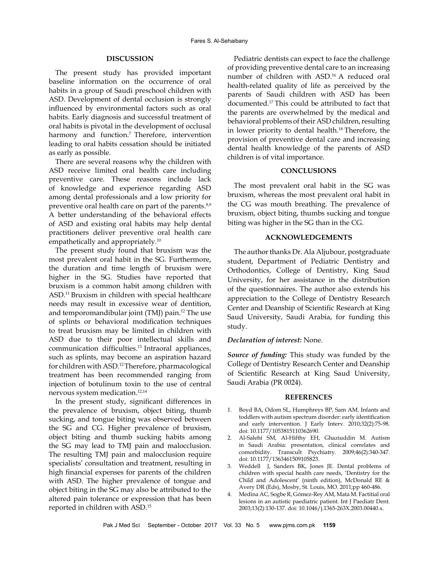## **DISCUSSION**

The present study has provided important baseline information on the occurrence of oral habits in a group of Saudi preschool children with ASD. Development of dental occlusion is strongly influenced by environmental factors such as oral habits. Early diagnosis and successful treatment of oral habits is pivotal in the development of occlusal harmony and function.<sup>7</sup> Therefore, intervention leading to oral habits cessation should be initiated as early as possible.

There are several reasons why the children with ASD receive limited oral health care including preventive care. These reasons include lack of knowledge and experience regarding ASD among dental professionals and a low priority for preventive oral health care on part of the parents.<sup>8,9</sup> A better understanding of the behavioral effects of ASD and existing oral habits may help dental practitioners deliver preventive oral health care empathetically and appropriately.10

The present study found that bruxism was the most prevalent oral habit in the SG. Furthermore, the duration and time length of bruxism were higher in the SG. Studies have reported that bruxism is a common habit among children with ASD.11 Bruxism in children with special healthcare needs may result in excessive wear of dentition, and temporomandibular joint (TMJ) pain.12 The use of splints or behavioral modification techniques to treat bruxism may be limited in children with ASD due to their poor intellectual skills and communication difficulties.13 Intraoral appliances, such as splints, may become an aspiration hazard for children with ASD.12 Therefore, pharmacological treatment has been recommended ranging from injection of botulinum toxin to the use of central nervous system medication.12,14

In the present study, significant differences in the prevalence of bruxism, object biting, thumb sucking, and tongue biting was observed between the SG and CG. Higher prevalence of bruxism, object biting and thumb sucking habits among the SG may lead to TMJ pain and malocclusion. The resulting TMJ pain and malocclusion require specialists' consultation and treatment, resulting in high financial expenses for parents of the children with ASD. The higher prevalence of tongue and object biting in the SG may also be attributed to the altered pain tolerance or expression that has been reported in children with ASD.15

Pediatric dentists can expect to face the challenge of providing preventive dental care to an increasing number of children with ASD.16 A reduced oral health-related quality of life as perceived by the parents of Saudi children with ASD has been documented.17 This could be attributed to fact that the parents are overwhelmed by the medical and behavioral problems of their ASD children, resulting in lower priority to dental health.<sup>18</sup> Therefore, the provision of preventive dental care and increasing dental health knowledge of the parents of ASD children is of vital importance.

# **CONCLUSIONS**

The most prevalent oral habit in the SG was bruxism, whereas the most prevalent oral habit in the CG was mouth breathing. The prevalence of bruxism, object biting, thumbs sucking and tongue biting was higher in the SG than in the CG.

# **ACKNOWLEDGEMENTS**

The author thanks Dr. Ala Aljubour, postgraduate student, Department of Pediatric Dentistry and Orthodontics, College of Dentistry, King Saud University, for her assistance in the distribution of the questionnaires. The author also extends his appreciation to the College of Dentistry Research Center and Deanship of Scientific Research at King Saud University, Saudi Arabia, for funding this study.

## *Declaration of interest:* None.

*Source of funding:* This study was funded by the College of Dentistry Research Center and Deanship of Scientific Research at King Saud University, Saudi Arabia (PR 0024).

## **REFERENCES**

- 1. Boyd BA, Odom SL, Humphreys BP, Sam AM. Infants and toddlers with autism spectrum disorder: early identification and early intervention. J Early Interv. 2010;32(2):75-98. doi: 10.1177/1053815110362690.
- 2. Al-Salehi SM, Al-Hifthy EH, Ghaziuddin M. Autism in Saudi Arabia: presentation, clinical correlates and comorbidity. Transcult Psychiatry. 2009;46(2):340-347. doi: 10.1177/1363461509105823.
- 3. Weddell J, Sanders BK, Jones JE. Dental problems of children with special health care needs, 'Dentistry for the Child and Adolescent' (ninth edition), McDonald RE & Avery DR (Eds), Mosby, St. Louis, MO. 2011;pp 460-486.
- 4. Medina AC, Sogbe R, Gómez-Rey AM, Mata M. Factitial oral lesions in an autistic paediatric patient. Int J Paediatr Dent. 2003;13(2):130-137. doi: 10.1046/j.1365-263X.2003.00440.x.